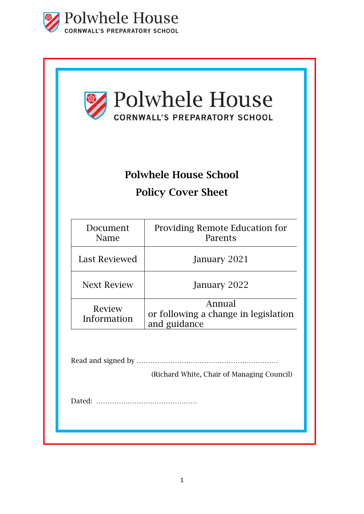

| Polwhele House<br>CORNWALL'S PREPARATORY SCHOOL<br><b>Polwhele House School</b><br><b>Policy Cover Sheet</b> |                                                                |  |                      |                                           |
|--------------------------------------------------------------------------------------------------------------|----------------------------------------------------------------|--|----------------------|-------------------------------------------|
|                                                                                                              |                                                                |  | Document<br>Name     | Providing Remote Education for<br>Parents |
|                                                                                                              |                                                                |  | <b>Last Reviewed</b> | January 2021                              |
| <b>Next Review</b>                                                                                           | January 2022                                                   |  |                      |                                           |
| Review<br>Information                                                                                        | Annual<br>or following a change in legislation<br>and guidance |  |                      |                                           |
|                                                                                                              |                                                                |  |                      |                                           |
|                                                                                                              | (Richard White, Chair of Managing Council)                     |  |                      |                                           |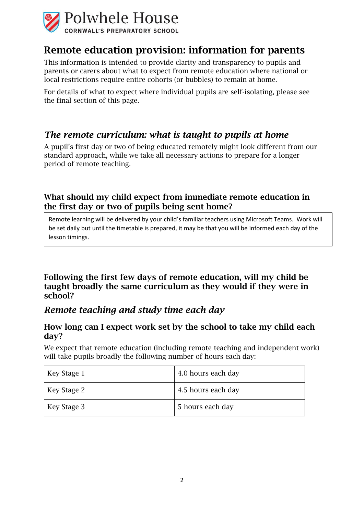

# Remote education provision: information for parents

This information is intended to provide clarity and transparency to pupils and parents or carers about what to expect from remote education where national or local restrictions require entire cohorts (or bubbles) to remain at home.

For details of what to expect where individual pupils are self-isolating, please see the final section of this page.

## *The remote curriculum: what is taught to pupils at home*

A pupil's first day or two of being educated remotely might look different from our standard approach, while we take all necessary actions to prepare for a longer period of remote teaching.

### What should my child expect from immediate remote education in the first day or two of pupils being sent home?

Remote learning will be delivered by your child's familiar teachers using Microsoft Teams. Work will be set daily but until the timetable is prepared, it may be that you will be informed each day of the lesson timings.

Following the first few days of remote education, will my child be taught broadly the same curriculum as they would if they were in school?

### *Remote teaching and study time each day*

### How long can I expect work set by the school to take my child each day?

We expect that remote education (including remote teaching and independent work) will take pupils broadly the following number of hours each day:

| Key Stage 1 | 4.0 hours each day |
|-------------|--------------------|
| Key Stage 2 | 4.5 hours each day |
| Key Stage 3 | 5 hours each day   |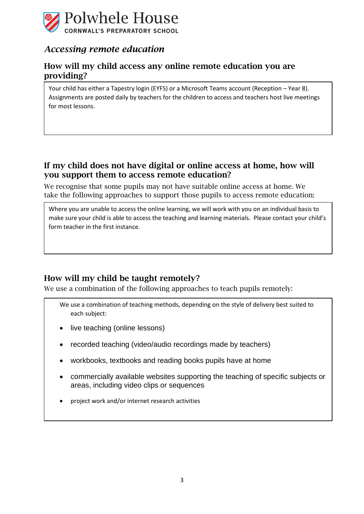

## *Accessing remote education*

#### How will my child access any online remote education you are providing?

Your child has either a Tapestry login (EYFS) or a Microsoft Teams account (Reception – Year 8). Assignments are posted daily by teachers for the children to access and teachers host live meetings for most lessons.

### If my child does not have digital or online access at home, how will you support them to access remote education?

We recognise that some pupils may not have suitable online access at home. We take the following approaches to support those pupils to access remote education:

Where you are unable to access the online learning, we will work with you on an individual basis to make sure your child is able to access the teaching and learning materials. Please contact your child's form teacher in the first instance.

### How will my child be taught remotely?

We use a combination of the following approaches to teach pupils remotely:

- We use a combination of teaching methods, depending on the style of delivery best suited to each subject:
- live teaching (online lessons)
- recorded teaching (video/audio recordings made by teachers)
- workbooks, textbooks and reading books pupils have at home
- commercially available websites supporting the teaching of specific subjects or areas, including video clips or sequences
- project work and/or internet research activities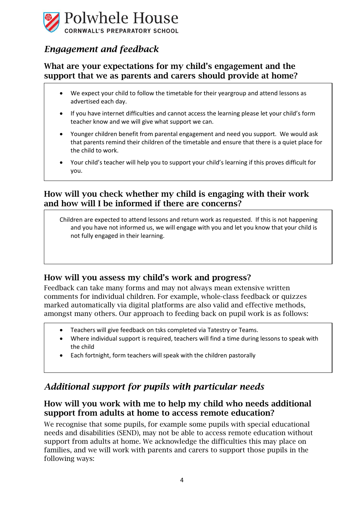

## *Engagement and feedback*

### What are your expectations for my child's engagement and the support that we as parents and carers should provide at home?

- We expect your child to follow the timetable for their yeargroup and attend lessons as advertised each day.
- If you have internet difficulties and cannot access the learning please let your child's form teacher know and we will give what support we can.
- Younger children benefit from parental engagement and need you support. We would ask that parents remind their children of the timetable and ensure that there is a quiet place for the child to work.
- Your child's teacher will help you to support your child's learning if this proves difficult for you.

### How will you check whether my child is engaging with their work and how will I be informed if there are concerns?

Children are expected to attend lessons and return work as requested. If this is not happening and you have not informed us, we will engage with you and let you know that your child is not fully engaged in their learning.

### How will you assess my child's work and progress?

Feedback can take many forms and may not always mean extensive written comments for individual children. For example, whole-class feedback or quizzes marked automatically via digital platforms are also valid and effective methods, amongst many others. Our approach to feeding back on pupil work is as follows:

- Teachers will give feedback on tsks completed via Tatestry or Teams.
- Where individual support is required, teachers will find a time during lessons to speak with the child
- Each fortnight, form teachers will speak with the children pastorally

## *Additional support for pupils with particular needs*

### How will you work with me to help my child who needs additional support from adults at home to access remote education?

We recognise that some pupils, for example some pupils with special educational needs and disabilities (SEND), may not be able to access remote education without support from adults at home. We acknowledge the difficulties this may place on families, and we will work with parents and carers to support those pupils in the following ways: